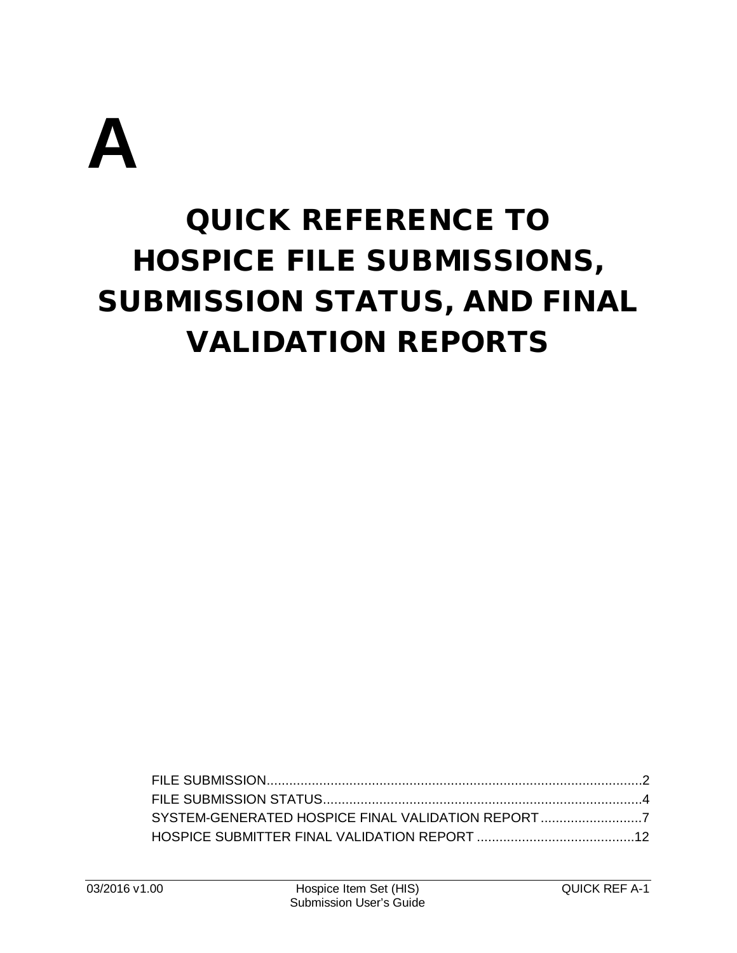

# QUICK REFERENCE TO HOSPICE FILE SUBMISSIONS, SUBMISSION STATUS, AND FINAL VALIDATION REPORTS

| SYSTEM-GENERATED HOSPICE FINAL VALIDATION REPORT |  |
|--------------------------------------------------|--|
|                                                  |  |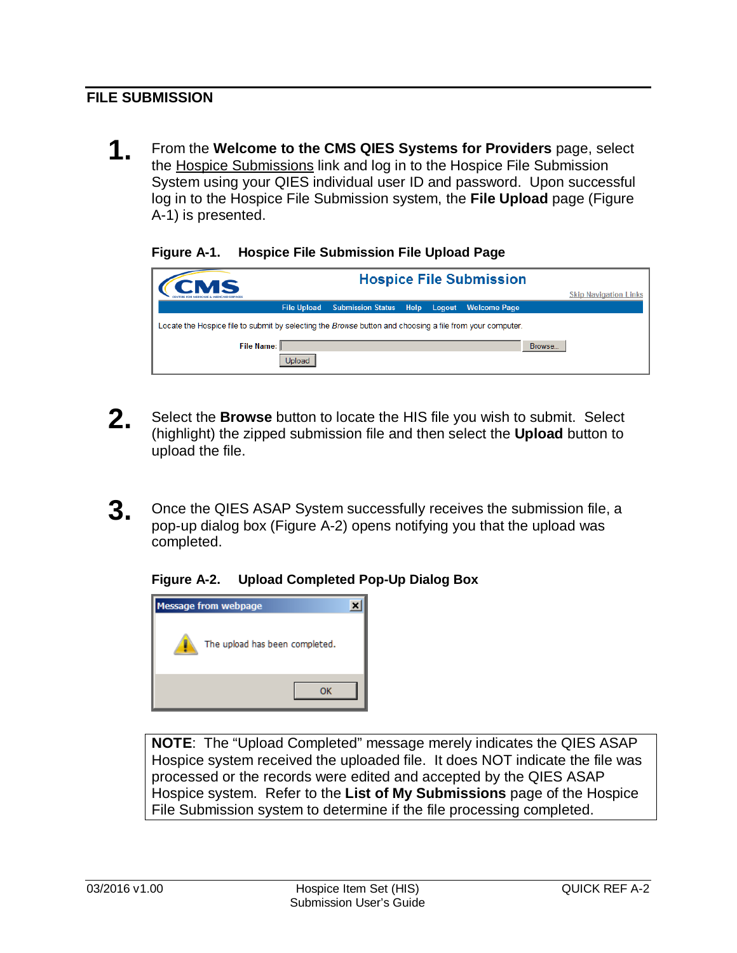## <span id="page-1-0"></span>**FILE SUBMISSION**

**1.** From the **Welcome to the CMS QIES Systems for Providers** page, select the Hospice Submissions link and log in to the Hospice File Submission System using your QIES individual user ID and password. Upon successful log in to the Hospice File Submission system, the **File Upload** page (Figure A-1) is presented.

#### **Figure A-1. Hospice File Submission File Upload Page**

| CMS                                                                                                      |                          | <b>Hospice File Submission</b>        |                              |
|----------------------------------------------------------------------------------------------------------|--------------------------|---------------------------------------|------------------------------|
|                                                                                                          |                          |                                       | <b>Skip Navigation Links</b> |
| <b>File Upload</b>                                                                                       | <b>Submission Status</b> | Help<br><b>Welcome Page</b><br>Logout |                              |
| Locate the Hospice file to submit by selecting the Browse button and choosing a file from your computer. |                          |                                       |                              |
| File Name:                                                                                               |                          |                                       | Browse                       |
| Upload                                                                                                   |                          |                                       |                              |

- **2.** Select the **Browse** button to locate the HIS file you wish to submit. Select (highlight) the zipped submission file and then select the **Upload** button to upload the file.
- **3.** Once the QIES ASAP System successfully receives the submission file, a pop-up dialog box (Figure A-2) opens notifying you that the upload was completed.

#### **Figure A-2. Upload Completed Pop-Up Dialog Box**



**NOTE**: The "Upload Completed" message merely indicates the QIES ASAP Hospice system received the uploaded file. It does NOT indicate the file was processed or the records were edited and accepted by the QIES ASAP Hospice system. Refer to the **List of My Submissions** page of the Hospice File Submission system to determine if the file processing completed.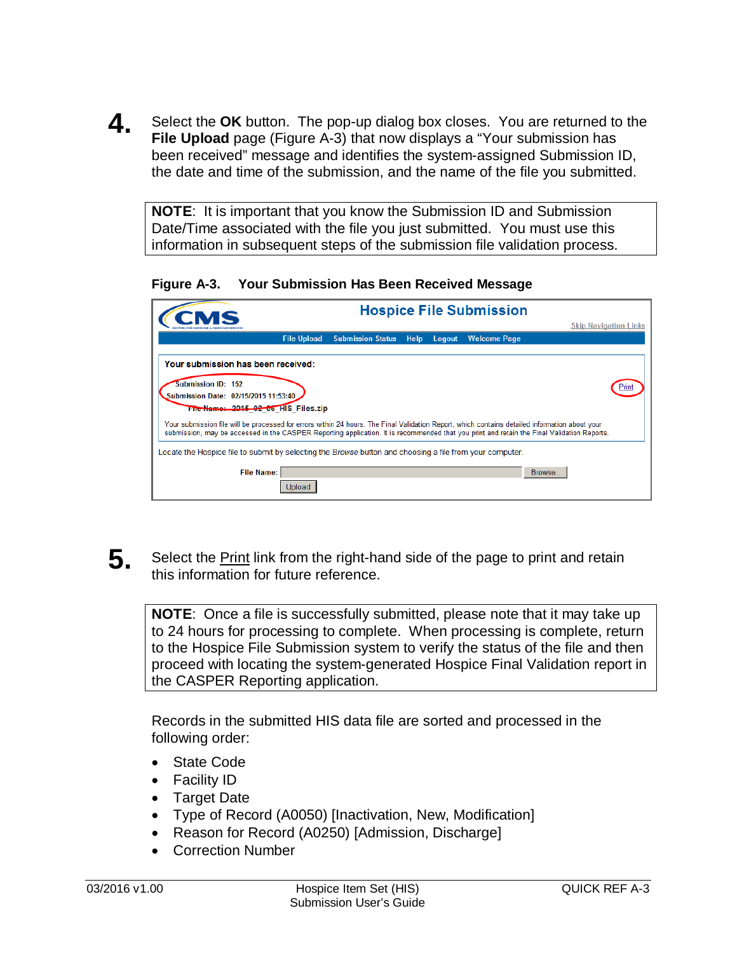**4** Select the OK button. The pop-up dialog box closes. You are returned to the **File Upload** page (Figure A-3) that now displays a "Your submission has been received" message and identifies the system-assigned Submission ID, the date and time of the submission, and the name of the file you submitted.

**NOTE**: It is important that you know the Submission ID and Submission Date/Time associated with the file you just submitted. You must use this information in subsequent steps of the submission file validation process.

**Figure A-3. Your Submission Has Been Received Message**

|                                                                                                                                                                                                                                                                                              |                                                |                | <b>Hospice File Submission</b> |                              |
|----------------------------------------------------------------------------------------------------------------------------------------------------------------------------------------------------------------------------------------------------------------------------------------------|------------------------------------------------|----------------|--------------------------------|------------------------------|
|                                                                                                                                                                                                                                                                                              |                                                |                |                                | <b>Skip Navigation Links</b> |
|                                                                                                                                                                                                                                                                                              | <b>File Upload</b><br><b>Submission Status</b> | Help<br>Logout | <b>Welcome Page</b>            |                              |
| Your submission has been received:                                                                                                                                                                                                                                                           |                                                |                |                                |                              |
| <b>Submission ID: 152</b>                                                                                                                                                                                                                                                                    |                                                |                |                                |                              |
| Submission Date: 02/15/2015 11:53:40                                                                                                                                                                                                                                                         |                                                |                |                                |                              |
| File Name: 2015-02 06 HIS Files.zip                                                                                                                                                                                                                                                          |                                                |                |                                |                              |
| Your submission file will be processed for errors within 24 hours. The Final Validation Report, which contains detailed information about your<br>submission, may be accessed in the CASPER Reporting application. It is recommended that you print and retain the Final Validation Reports. |                                                |                |                                |                              |
| Locate the Hospice file to submit by selecting the <i>Browse</i> button and choosing a file from your computer.                                                                                                                                                                              |                                                |                |                                |                              |
| <b>File Name:</b>                                                                                                                                                                                                                                                                            |                                                |                | Browse                         |                              |
| Jpload                                                                                                                                                                                                                                                                                       |                                                |                |                                |                              |

**5.** Select the Print link from the right-hand side of the page to print and retain this information for future reference.

**NOTE**: Once a file is successfully submitted, please note that it may take up to 24 hours for processing to complete. When processing is complete, return to the Hospice File Submission system to verify the status of the file and then proceed with locating the system-generated Hospice Final Validation report in the CASPER Reporting application.

Records in the submitted HIS data file are sorted and processed in the following order:

- State Code
- Facility ID
- Target Date
- Type of Record (A0050) [Inactivation, New, Modification]
- Reason for Record (A0250) [Admission, Discharge]
- Correction Number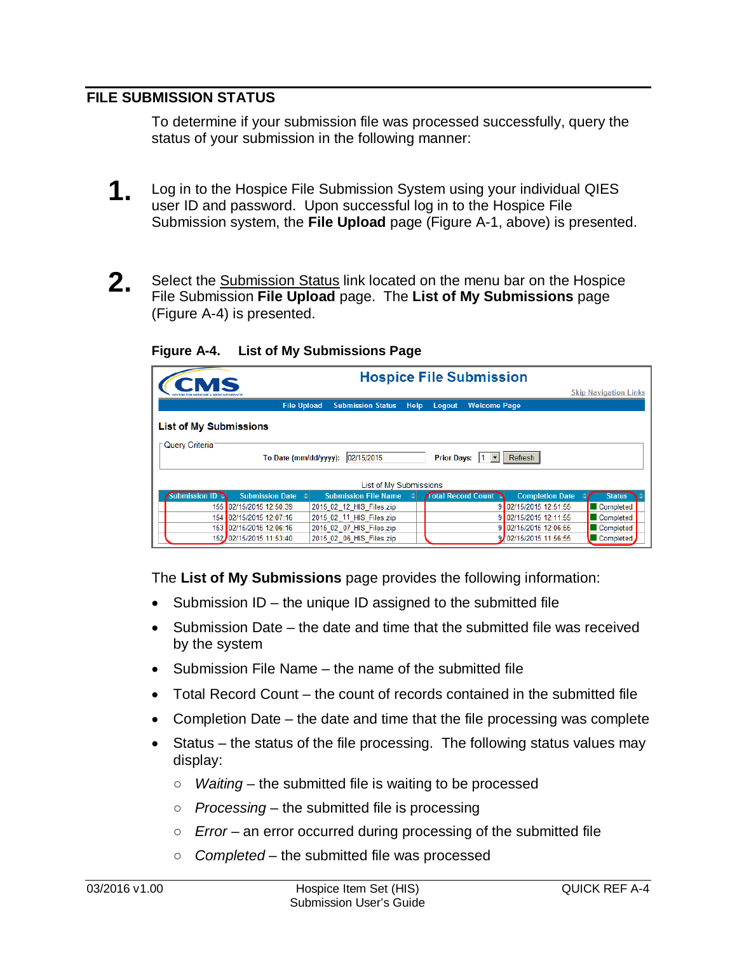## <span id="page-3-0"></span>**FILE SUBMISSION STATUS**

To determine if your submission file was processed successfully, query the status of your submission in the following manner:

- **1.** Log in to the Hospice File Submission System using your individual QIES user ID and password. Upon successful log in to the Hospice File Submission system, the **File Upload** page (Figure A-1, above) is presented.
- **2.** Select the Submission Status link located on the menu bar on the Hospice File Submission **File Upload** page. The **List of My Submissions** page (Figure A-4) is presented.

| CMS                           |                         | <b>Hospice File Submission</b> |      |        |                                 |                        |                              |
|-------------------------------|-------------------------|--------------------------------|------|--------|---------------------------------|------------------------|------------------------------|
|                               |                         |                                |      |        |                                 |                        | <b>Skip Navigation Links</b> |
|                               | <b>File Upload</b>      | <b>Submission Status</b>       | Help | Logout | <b>Welcome Page</b>             |                        |                              |
| <b>List of My Submissions</b> |                         |                                |      |        |                                 |                        |                              |
| Query Criteria                |                         |                                |      |        |                                 |                        |                              |
|                               | To Date (mm/dd/yyyy):   | 02/15/2015                     |      |        | Prior Days:  1     Refresh      |                        |                              |
|                               |                         | List of My Submissions         |      |        |                                 |                        |                              |
| <b>Submission ID 3</b>        | <b>Submission Date</b>  | <b>Submission File Name</b>    |      |        | <b>Total Record Count &amp;</b> | <b>Completion Date</b> | <b>Status</b>                |
|                               | 155 02/15/2015 12:50:39 | 2015 02 12 HIS Files.zip       |      |        |                                 | 9 02/15/2015 12:51:55  | Completed                    |
|                               | 154 02/15/2015 12:07:16 | 2015 02_11_HIS_Files.zip       |      |        |                                 | 02/15/2015 12:11:55    | Completed                    |
|                               | 153 02/15/2015 12:06:16 | 2015 02 07 HIS Files.zip       |      |        |                                 | 9 02/15/2015 12:06:55  | Completed                    |
|                               | 152 02/15/2015 11:53:40 | 2015 02 06 HIS Files.zip       |      |        |                                 | 9. 02/15/2015 11:56:55 | Completed                    |

**Figure A-4. List of My Submissions Page**

The **List of My Submissions** page provides the following information:

- Submission ID the unique ID assigned to the submitted file
- Submission Date the date and time that the submitted file was received by the system
- Submission File Name the name of the submitted file
- Total Record Count the count of records contained in the submitted file
- Completion Date the date and time that the file processing was complete
- Status the status of the file processing. The following status values may display:
	- *Waiting* the submitted file is waiting to be processed
	- *Processing* the submitted file is processing
	- *Error* an error occurred during processing of the submitted file
	- *Completed* the submitted file was processed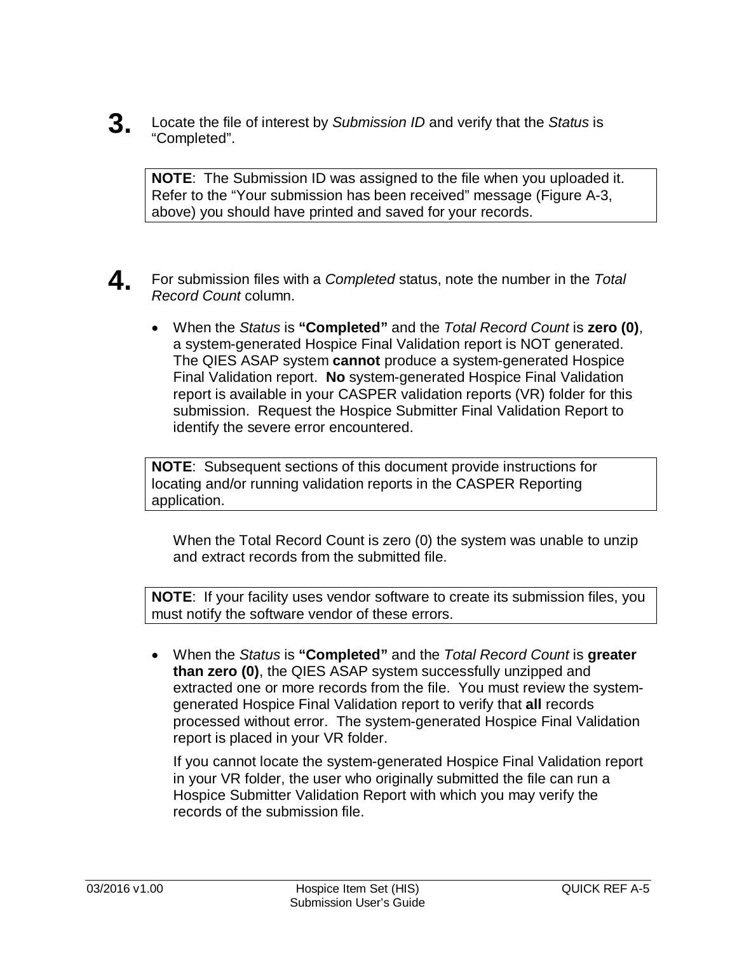**3.** Locate the file of interest by *Submission ID* and verify that the *Status* is "Completed".

**NOTE**: The Submission ID was assigned to the file when you uploaded it. Refer to the "Your submission has been received" message (Figure A-3, above) you should have printed and saved for your records.

- **4.** For submission files with a *Completed* status, note the number in the *Total Record Count* column.
	- When the *Status* is **"Completed"** and the *Total Record Count* is **zero (0)**, a system-generated Hospice Final Validation report is NOT generated. The QIES ASAP system **cannot** produce a system-generated Hospice Final Validation report. **No** system-generated Hospice Final Validation report is available in your CASPER validation reports (VR) folder for this submission. Request the Hospice Submitter Final Validation Report to identify the severe error encountered.

**NOTE**: Subsequent sections of this document provide instructions for locating and/or running validation reports in the CASPER Reporting application.

When the Total Record Count is zero (0) the system was unable to unzip and extract records from the submitted file.

**NOTE**: If your facility uses vendor software to create its submission files, you must notify the software vendor of these errors.

• When the *Status* is **"Completed"** and the *Total Record Count* is **greater than zero (0)**, the QIES ASAP system successfully unzipped and extracted one or more records from the file. You must review the systemgenerated Hospice Final Validation report to verify that **all** records processed without error. The system-generated Hospice Final Validation report is placed in your VR folder.

If you cannot locate the system-generated Hospice Final Validation report in your VR folder, the user who originally submitted the file can run a Hospice Submitter Validation Report with which you may verify the records of the submission file.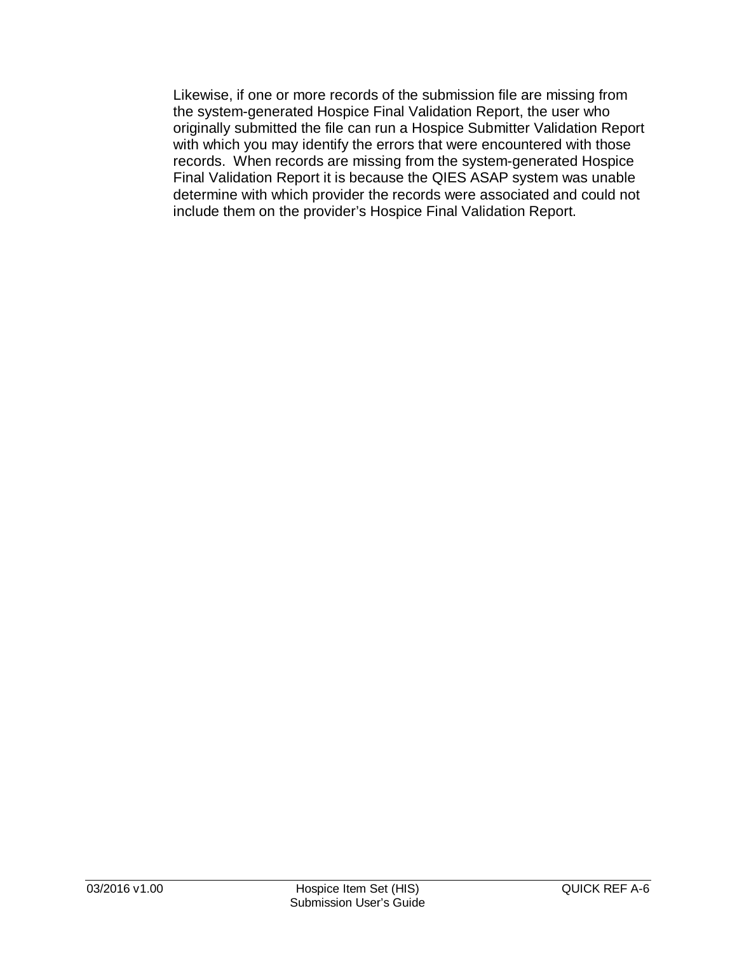Likewise, if one or more records of the submission file are missing from the system-generated Hospice Final Validation Report, the user who originally submitted the file can run a Hospice Submitter Validation Report with which you may identify the errors that were encountered with those records. When records are missing from the system-generated Hospice Final Validation Report it is because the QIES ASAP system was unable determine with which provider the records were associated and could not include them on the provider's Hospice Final Validation Report.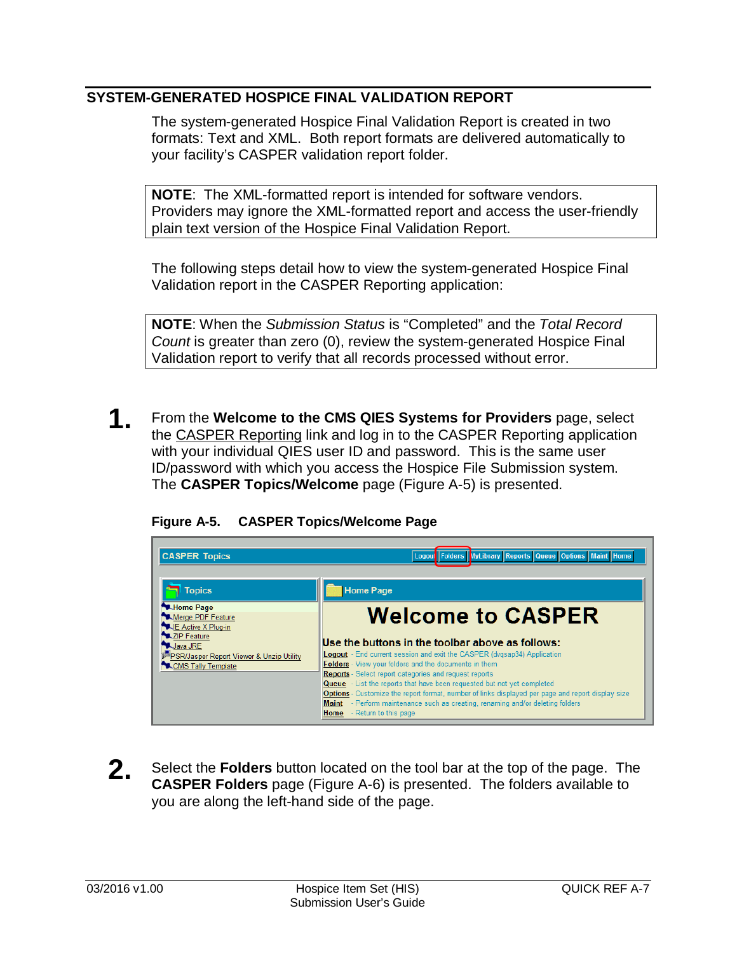## <span id="page-6-0"></span>**SYSTEM-GENERATED HOSPICE FINAL VALIDATION REPORT**

The system-generated Hospice Final Validation Report is created in two formats: Text and XML. Both report formats are delivered automatically to your facility's CASPER validation report folder.

**NOTE**: The XML-formatted report is intended for software vendors. Providers may ignore the XML-formatted report and access the user-friendly plain text version of the Hospice Final Validation Report.

The following steps detail how to view the system-generated Hospice Final Validation report in the CASPER Reporting application:

**NOTE**: When the *Submission Status* is "Completed" and the *Total Record Count* is greater than zero (0), review the system-generated Hospice Final Validation report to verify that all records processed without error.

**1.** From the **Welcome to the CMS QIES Systems for Providers** page, select the CASPER Reporting link and log in to the CASPER Reporting application with your individual QIES user ID and password. This is the same user ID/password with which you access the Hospice File Submission system. The **CASPER Topics/Welcome** page (Figure A-5) is presented.

|  | Figure A-5. |  | <b>CASPER Topics/Welcome Page</b> |  |
|--|-------------|--|-----------------------------------|--|
|--|-------------|--|-----------------------------------|--|

| <b>CASPER Topics</b>                                                          | Logout Folders MyLibrary Reports Queue Options Maint Home                                                                                                                                                                       |
|-------------------------------------------------------------------------------|---------------------------------------------------------------------------------------------------------------------------------------------------------------------------------------------------------------------------------|
| <b>Topics</b>                                                                 | <b>Home Page</b>                                                                                                                                                                                                                |
| <b>MA</b> Home Page<br>Merge PDF Feature<br>LE Active X Plug-in               | <b>Welcome to CASPER</b>                                                                                                                                                                                                        |
| XZIP Feature<br><b>W.Java JRE</b><br>PSR/Jasper Report Viewer & Unzip Utility | Use the buttons in the toolbar above as follows:<br><b>Logout</b> - End current session and exit the CASPER (dvgsap34) Application                                                                                              |
| CMS Tally Template                                                            | Folders - View your folders and the documents in them<br><b>Reports</b> - Select report categories and request reports<br>Queue - List the reports that have been requested but not yet completed                               |
|                                                                               | <b>Options</b> - Customize the report format, number of links displayed per page and report display size<br>Maint - Perform maintenance such as creating, renaming and/or deleting folders<br><b>Home</b> - Return to this page |

**2.** Select the **Folders** button located on the tool bar at the top of the page. The **CASPER Folders** page (Figure A-6) is presented. The folders available to you are along the left-hand side of the page.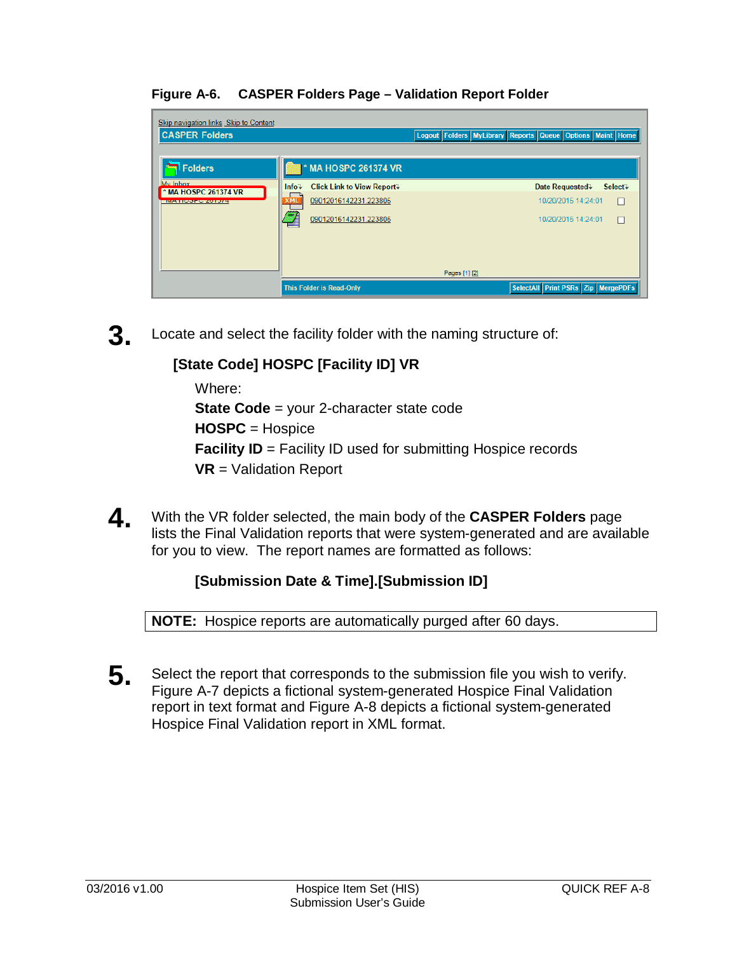#### **Figure A-6. CASPER Folders Page – Validation Report Folder**

| Skip navigation links Skip to Content<br><b>CASPER Folders</b> |                                                              | Logout Folders MyLibrary Reports Queue Options Maint Home |
|----------------------------------------------------------------|--------------------------------------------------------------|-----------------------------------------------------------|
| Folders                                                        | <b>MA HOSPC 261374 VR</b>                                    |                                                           |
| My Inhox<br>* MA HOSPC 261374 VR                               | <b>Click Link to View Report</b><br>$Info+$                  | Date Requested.<br>Select+                                |
| <b>IVIATION OF CAST 1714</b>                                   | 09012016142231.223805<br><b>XMi</b><br>09012016142231.223805 | 10/20/2015 14:24:01<br>П<br>10/20/2015 14:24:01<br>П      |
|                                                                |                                                              |                                                           |
|                                                                |                                                              | Pages [1] [2]                                             |
|                                                                | <b>This Folder is Read-Only</b>                              | SelectAll Print PSRs Zip MergePDFs                        |

**3.** Locate and select the facility folder with the naming structure of:

# **[State Code] HOSPC [Facility ID] VR**

Where:

**State Code** = your 2-character state code

**HOSPC** = Hospice

**Facility ID** = Facility ID used for submitting Hospice records

**VR** = Validation Report

**4.** With the VR folder selected, the main body of the **CASPER Folders** page lists the Final Validation reports that were system-generated and are available for you to view. The report names are formatted as follows:

# **[Submission Date & Time].[Submission ID]**

**NOTE:** Hospice reports are automatically purged after 60 days.

**5**. Select the report that corresponds to the submission file you wish to verify. Figure A-7 depicts a fictional system-generated Hospice Final Validation report in text format and Figure A-8 depicts a fictional system-generated Hospice Final Validation report in XML format.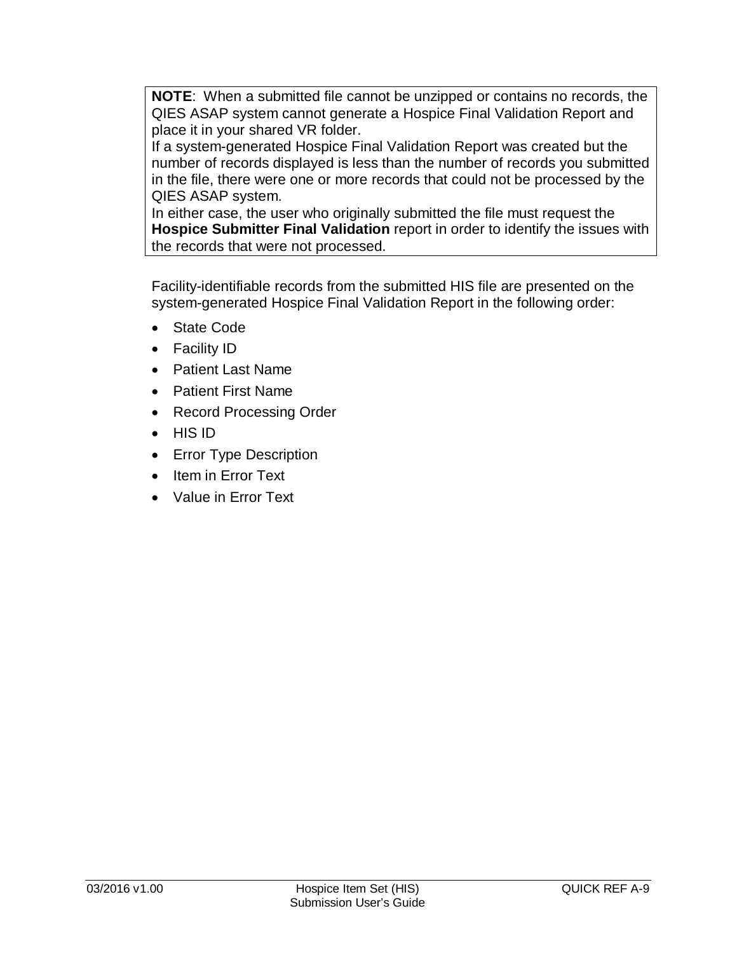**NOTE**: When a submitted file cannot be unzipped or contains no records, the QIES ASAP system cannot generate a Hospice Final Validation Report and place it in your shared VR folder.

If a system-generated Hospice Final Validation Report was created but the number of records displayed is less than the number of records you submitted in the file, there were one or more records that could not be processed by the QIES ASAP system.

In either case, the user who originally submitted the file must request the **Hospice Submitter Final Validation** report in order to identify the issues with the records that were not processed.

Facility-identifiable records from the submitted HIS file are presented on the system-generated Hospice Final Validation Report in the following order:

- State Code
- Facility ID
- Patient Last Name
- Patient First Name
- Record Processing Order
- HIS ID
- Error Type Description
- Item in Error Text
- Value in Error Text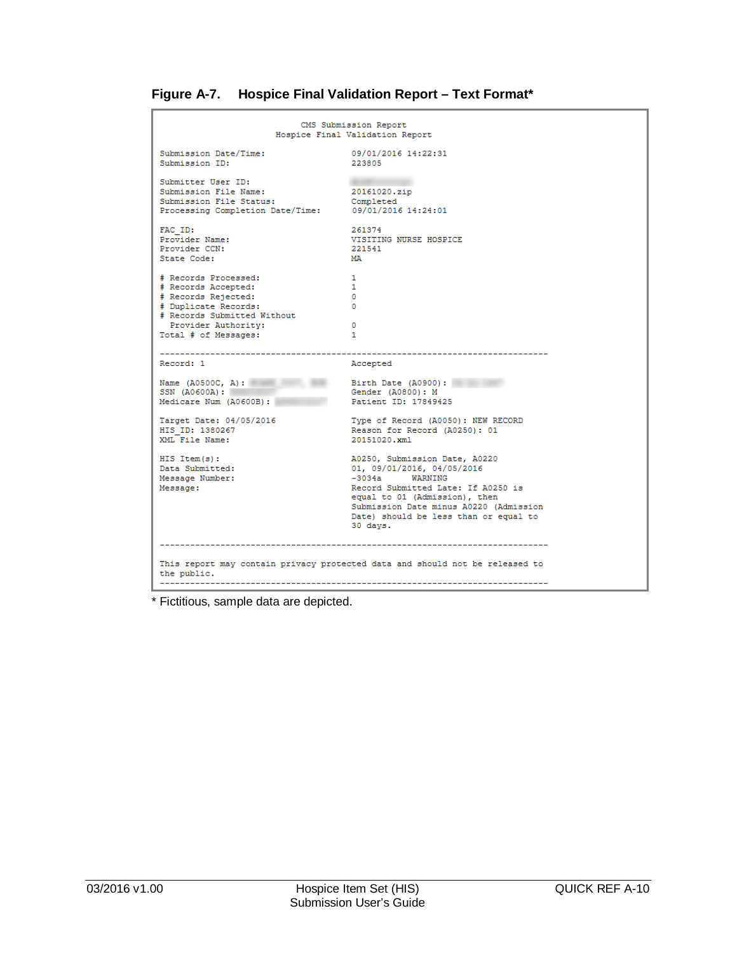| Figure A-7. |  |  |  | <b>Hospice Final Validation Report - Text Format*</b> |
|-------------|--|--|--|-------------------------------------------------------|
|-------------|--|--|--|-------------------------------------------------------|

| CMS Submission Report<br>Hospice Final Validation Report                                                                                                                 |                                                                                                                                                                                                                                                       |  |  |
|--------------------------------------------------------------------------------------------------------------------------------------------------------------------------|-------------------------------------------------------------------------------------------------------------------------------------------------------------------------------------------------------------------------------------------------------|--|--|
| Submission Date/Time:<br>Submission ID:                                                                                                                                  | 09/01/2016 14:22:31<br>223805                                                                                                                                                                                                                         |  |  |
| Submitter User ID:<br>Submission File Name:<br>Submission File Status:<br>Processing Completion Date/Time: 09/01/2016 14:24:01                                           | 20161020.zip<br>Completed                                                                                                                                                                                                                             |  |  |
| FAC ID:<br>Provider Name:<br>Provider CCN:<br>State Code:                                                                                                                | 261374<br>VISITING NURSE HOSPICE<br>221541<br>МA                                                                                                                                                                                                      |  |  |
| # Records Processed:<br># Records Accepted:<br># Records Rejected:<br># Duplicate Records:<br># Records Submitted Without<br>Provider Authority:<br>Total # of Messages: | $\mathbf 1$<br>1<br>$\Omega$<br>$^{\circ}$<br>$\circ$<br>$\mathbf{1}$                                                                                                                                                                                 |  |  |
| Record: 1                                                                                                                                                                | Accepted                                                                                                                                                                                                                                              |  |  |
| Name $(A0500C, A):$<br>SSN (A0600A):<br>Medicare Num (A0600B):                                                                                                           | Birth Date (A0900):<br>Gender (A0800): M<br>Patient ID: 17849425                                                                                                                                                                                      |  |  |
| Target Date: 04/05/2016<br>HIS ID: 1380267<br>XML File Name:                                                                                                             | Type of Record (A0050): NEW RECORD<br>Reason for Record (A0250): 01<br>20151020.xml                                                                                                                                                                   |  |  |
| $HIS$ Item $(s)$ :<br>Data Submitted:<br>Message Number:<br>Message:                                                                                                     | A0250, Submission Date, A0220<br>01, 09/01/2016, 04/05/2016<br>$-3034a$ WARNING<br>Record Submitted Late: If A0250 is<br>equal to 01 (Admission), then<br>Submission Date minus A0220 (Admission<br>Date) should be less than or equal to<br>30 days. |  |  |
| the public.                                                                                                                                                              | This report may contain privacy protected data and should not be released to                                                                                                                                                                          |  |  |

\* Fictitious, sample data are depicted.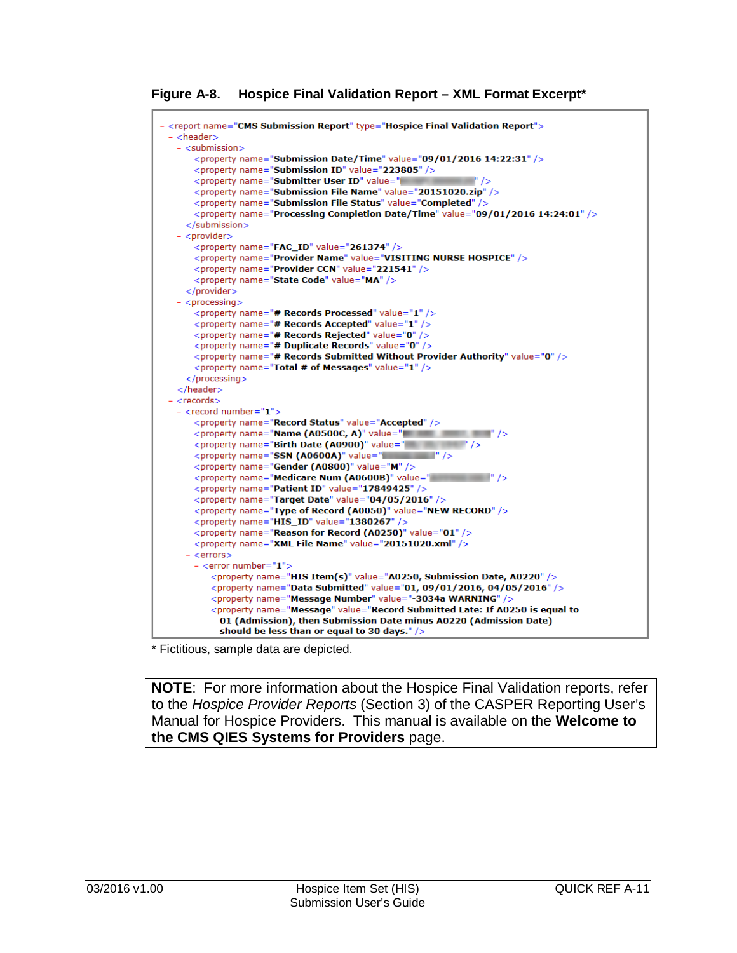**Figure A-8. Hospice Final Validation Report – XML Format Excerpt\***

```
- <report name="CMS Submission Report" type="Hospice Final Validation Report">
- <header>
  - \leqsubmission\geq<property name="Submission Date/Time" value="09/01/2016 14:22:31" />
     <property name="Submission ID" value="223805" />
     <property name="Submitter User ID" value="
     <broverty name="Submission File Name" value="20151020.zip" />
      <property name="Submission File Status" value="Completed" />
     <property name="Processing Completion Date/Time" value="09/01/2016 14:24:01" />
    \epsilon/submission\epsilon- <provider>
      <property name="FAC_ID" value="261374" />
     <property name="Provider Name" value="VISITING NURSE HOSPICE" />
     <property name="Provider CCN" value="221541" />
      <property name="State Code" value="MA" />
    </provider>
  - <processing>
      <property name="# Records Processed" value="1" />
     <property name="# Records Accepted" value="1" />
     <property name="# Records Rejected" value="0" />
     <property name="# Duplicate Records" value="0" />
     <property name="# Records Submitted Without Provider Authority" value="0" />
     <property name="Total # of Messages" value="1" />
    </processing>
  </header>
 - <records>
  - <record number="1">
      <property name="Record Status" value="Accepted" />
     \langle property name="Name (A0500C, A)" value="\langle /><br>\langle property name="Birth Date (A0900)" value="\langle />
     <property name="SSN (A0600A)" value="
     <property name="Gender (A0800)" value="M" />
     <property name="Medicare Num (A0600B)" value="
      <property name="Patient ID" value="17849425" />
     <property name="Target Date" value="04/05/2016" />
      <property name="Type of Record (A0050)" value="NEW RECORD" />
      <property name="HIS_ID" value="1380267" />
     <property name="Reason for Record (A0250)" value="01" />
     <property name="XML File Name" value="20151020.xml" />
    - <errors>
      - <error number="1":
         <property name="HIS Item(s)" value="A0250, Submission Date, A0220" />
         <property name="Data Submitted" value="01, 09/01/2016, 04/05/2016" />
         <property name="Message Number" value="-3034a WARNING" />
         <property name="Message" value="Record Submitted Late: If A0250 is equal to
           01 (Admission), then Submission Date minus A0220 (Admission Date)
           should be less than or equal to 30 days." />
```
\* Fictitious, sample data are depicted.

**NOTE**: For more information about the Hospice Final Validation reports, refer to the *Hospice Provider Reports* (Section 3) of the CASPER Reporting User's Manual for Hospice Providers. This manual is available on the **Welcome to the CMS QIES Systems for Providers** page.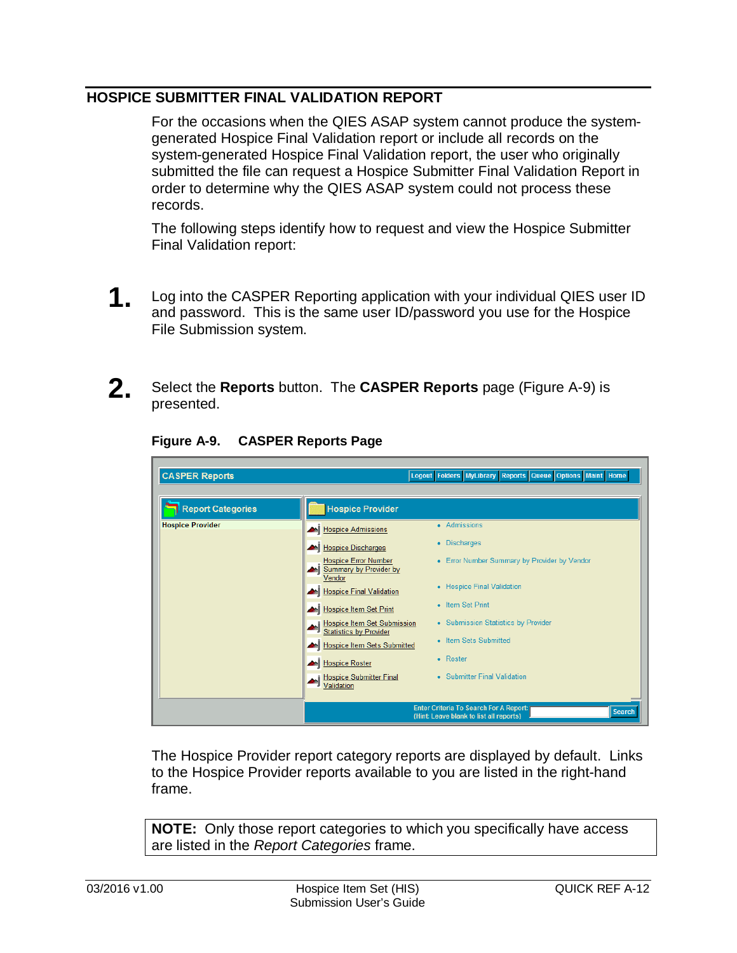## <span id="page-11-0"></span>**HOSPICE SUBMITTER FINAL VALIDATION REPORT**

For the occasions when the QIES ASAP system cannot produce the systemgenerated Hospice Final Validation report or include all records on the system-generated Hospice Final Validation report, the user who originally submitted the file can request a Hospice Submitter Final Validation Report in order to determine why the QIES ASAP system could not process these records.

The following steps identify how to request and view the Hospice Submitter Final Validation report:

**1** Log into the CASPER Reporting application with your individual QIES user ID and password. This is the same user ID/password you use for the Hospice File Submission system.



**2.** Select the **Reports** button. The **CASPER Reports** page (Figure A-9) is presented.

| <b>CASPER Reports</b>    |                                                                 | Logout Folders MyLibrary Reports Queue Options Maint Home                                                 |
|--------------------------|-----------------------------------------------------------------|-----------------------------------------------------------------------------------------------------------|
| <b>Report Categories</b> | <b>Hospice Provider</b>                                         |                                                                                                           |
| <b>Hospice Provider</b>  | M Hospice Admissions                                            | • Admissions                                                                                              |
|                          | Hospice Discharges                                              | • Discharges                                                                                              |
|                          | <b>Hospice Error Number</b><br>Summary by Provider by<br>Vendor | • Error Number Summary by Provider by Vendor                                                              |
|                          | Hospice Final Validation                                        | • Hospice Final Validation                                                                                |
|                          | Hospice Item Set Print                                          | • Item Set Print                                                                                          |
|                          | Hospice Item Set Submission<br>Statistics by Provider<br>мİ     | • Submission Statistics by Provider                                                                       |
|                          | Hospice Item Sets Submitted                                     | • Item Sets Submitted                                                                                     |
|                          | <b>M</b> Hospice Roster                                         | $\bullet$ Roster                                                                                          |
|                          | <b>Hospice Submitter Final</b><br>Validation                    | • Submitter Final Validation                                                                              |
|                          |                                                                 | <b>Enter Criteria To Search For A Report:</b><br><b>Search</b><br>(Hint: Leave blank to list all reports) |

**Figure A-9. CASPER Reports Page**

The Hospice Provider report category reports are displayed by default. Links to the Hospice Provider reports available to you are listed in the right-hand frame.

**NOTE:** Only those report categories to which you specifically have access are listed in the *Report Categories* frame.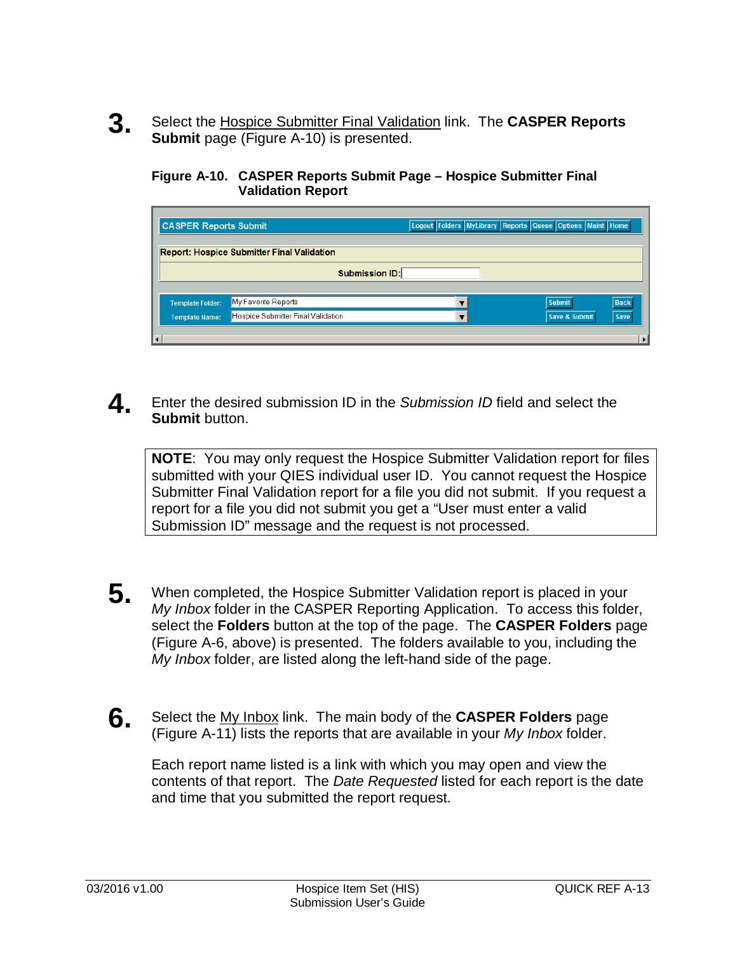**3.** Select the Hospice Submitter Final Validation link. The **CASPER Reports Submit** page (Figure A-10) is presented.

**Figure A-10. CASPER Reports Submit Page – Hospice Submitter Final Validation Report**

| <b>CASPER Reports Submit</b> |                                                   | Logout Folders MyLibrary Reports Queue Options Maint Home |               |             |
|------------------------------|---------------------------------------------------|-----------------------------------------------------------|---------------|-------------|
|                              | <b>Report: Hospice Submitter Final Validation</b> |                                                           |               |             |
|                              | <b>Submission ID:</b>                             |                                                           |               |             |
| <b>Template Folder:</b>      | My Favorite Reports                               |                                                           | <b>Submit</b> | <b>Back</b> |
| <b>Template Name:</b>        | Hospice Submitter Final Validation                |                                                           | Save & Submit | <b>Save</b> |
| $\vert \cdot \vert$          |                                                   |                                                           |               |             |

**4** Enter the desired submission ID in the *Submission ID* field and select the **Submit** button.

**NOTE**: You may only request the Hospice Submitter Validation report for files submitted with your QIES individual user ID. You cannot request the Hospice Submitter Final Validation report for a file you did not submit. If you request a report for a file you did not submit you get a "User must enter a valid Submission ID" message and the request is not processed.

- **5.** When completed, the Hospice Submitter Validation report is placed in your *My Inbox* folder in the CASPER Reporting Application. To access this folder, select the **Folders** button at the top of the page. The **CASPER Folders** page (Figure A-6, above) is presented. The folders available to you, including the *My Inbox* folder, are listed along the left-hand side of the page.
- **6.** Select the My Inbox link. The main body of the **CASPER Folders** page (Figure A-11) lists the reports that are available in your *My Inbox* folder.

Each report name listed is a link with which you may open and view the contents of that report. The *Date Requested* listed for each report is the date and time that you submitted the report request.